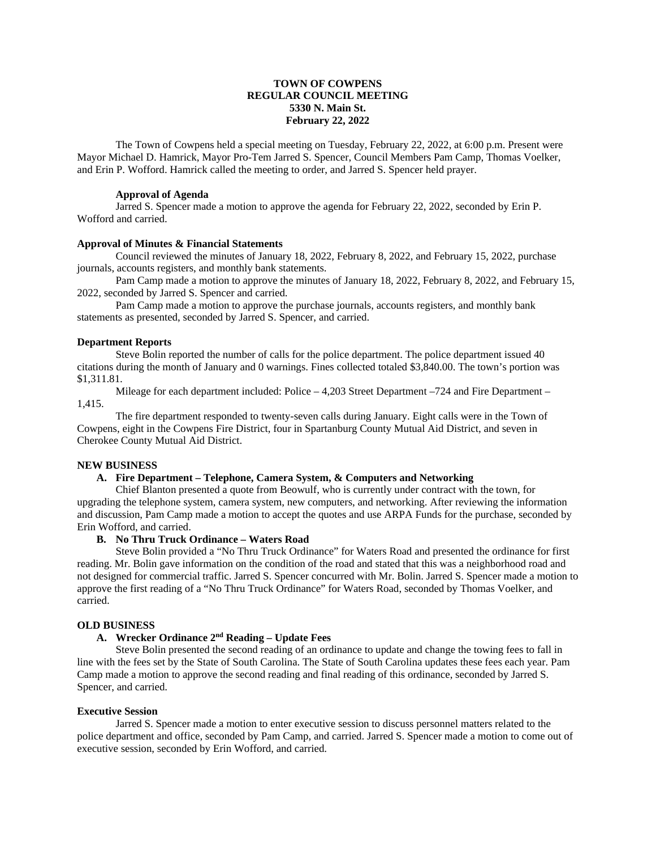## **TOWN OF COWPENS REGULAR COUNCIL MEETING 5330 N. Main St. February 22, 2022**

The Town of Cowpens held a special meeting on Tuesday, February 22, 2022, at 6:00 p.m. Present were Mayor Michael D. Hamrick, Mayor Pro-Tem Jarred S. Spencer, Council Members Pam Camp, Thomas Voelker, and Erin P. Wofford. Hamrick called the meeting to order, and Jarred S. Spencer held prayer.

### **Approval of Agenda**

Jarred S. Spencer made a motion to approve the agenda for February 22, 2022, seconded by Erin P. Wofford and carried.

### **Approval of Minutes & Financial Statements**

Council reviewed the minutes of January 18, 2022, February 8, 2022, and February 15, 2022, purchase journals, accounts registers, and monthly bank statements.

Pam Camp made a motion to approve the minutes of January 18, 2022, February 8, 2022, and February 15, 2022, seconded by Jarred S. Spencer and carried.

Pam Camp made a motion to approve the purchase journals, accounts registers, and monthly bank statements as presented, seconded by Jarred S. Spencer, and carried.

#### **Department Reports**

Steve Bolin reported the number of calls for the police department. The police department issued 40 citations during the month of January and 0 warnings. Fines collected totaled \$3,840.00. The town's portion was \$1,311.81.

Mileage for each department included: Police – 4,203 Street Department –724 and Fire Department – 1,415.

The fire department responded to twenty-seven calls during January. Eight calls were in the Town of Cowpens, eight in the Cowpens Fire District, four in Spartanburg County Mutual Aid District, and seven in Cherokee County Mutual Aid District.

### **NEW BUSINESS**

### **A. Fire Department – Telephone, Camera System, & Computers and Networking**

Chief Blanton presented a quote from Beowulf, who is currently under contract with the town, for upgrading the telephone system, camera system, new computers, and networking. After reviewing the information and discussion, Pam Camp made a motion to accept the quotes and use ARPA Funds for the purchase, seconded by Erin Wofford, and carried.

#### **B. No Thru Truck Ordinance – Waters Road**

Steve Bolin provided a "No Thru Truck Ordinance" for Waters Road and presented the ordinance for first reading. Mr. Bolin gave information on the condition of the road and stated that this was a neighborhood road and not designed for commercial traffic. Jarred S. Spencer concurred with Mr. Bolin. Jarred S. Spencer made a motion to approve the first reading of a "No Thru Truck Ordinance" for Waters Road, seconded by Thomas Voelker, and carried.

## **OLD BUSINESS**

# **A. Wrecker Ordinance 2nd Reading – Update Fees**

Steve Bolin presented the second reading of an ordinance to update and change the towing fees to fall in line with the fees set by the State of South Carolina. The State of South Carolina updates these fees each year. Pam Camp made a motion to approve the second reading and final reading of this ordinance, seconded by Jarred S. Spencer, and carried.

#### **Executive Session**

Jarred S. Spencer made a motion to enter executive session to discuss personnel matters related to the police department and office, seconded by Pam Camp, and carried. Jarred S. Spencer made a motion to come out of executive session, seconded by Erin Wofford, and carried.